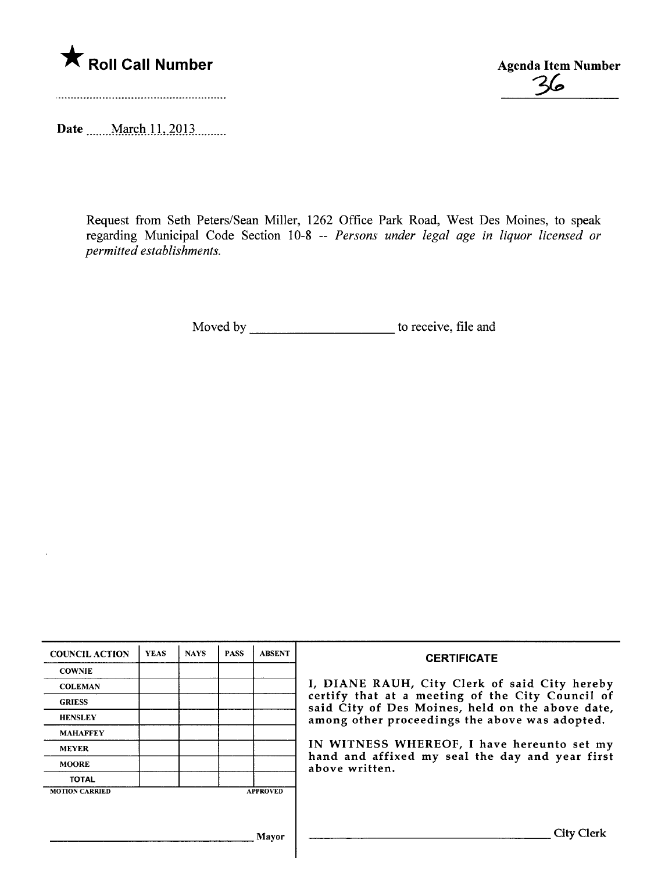

Agenda Item Number

Date ....... March 11, 2013.........

Request from Seth Peters/Sean Miller, 1262 Office Park Road, West Des Moines, to speak regarding Municipal Code Section 10-8 -- Persons under legal age in liquor licensed or permitted establishments.

Moved by to receive, file and

| <b>COUNCIL ACTION</b> | <b>YEAS</b> | <b>NAYS</b> | <b>PASS</b> | <b>ABSENT</b>   | <b>CERTIFICATE</b><br>I, DIANE RAUH, City Clerk of said City hereby<br>certify that at a meeting of the City Council of<br>said City of Des Moines, held on the above date,<br>among other proceedings the above was adopted.<br>IN WITNESS WHEREOF, I have hereunto set my<br>hand and affixed my seal the day and year first<br>above written. |
|-----------------------|-------------|-------------|-------------|-----------------|--------------------------------------------------------------------------------------------------------------------------------------------------------------------------------------------------------------------------------------------------------------------------------------------------------------------------------------------------|
| <b>COWNIE</b>         |             |             |             |                 |                                                                                                                                                                                                                                                                                                                                                  |
| <b>COLEMAN</b>        |             |             |             |                 |                                                                                                                                                                                                                                                                                                                                                  |
| <b>GRIESS</b>         |             |             |             |                 |                                                                                                                                                                                                                                                                                                                                                  |
| <b>HENSLEY</b>        |             |             |             |                 |                                                                                                                                                                                                                                                                                                                                                  |
| <b>MAHAFFEY</b>       |             |             |             |                 |                                                                                                                                                                                                                                                                                                                                                  |
| <b>MEYER</b>          |             |             |             |                 |                                                                                                                                                                                                                                                                                                                                                  |
| <b>MOORE</b>          |             |             |             |                 |                                                                                                                                                                                                                                                                                                                                                  |
| <b>TOTAL</b>          |             |             |             |                 |                                                                                                                                                                                                                                                                                                                                                  |
| <b>MOTION CARRIED</b> |             |             |             | <b>APPROVED</b> |                                                                                                                                                                                                                                                                                                                                                  |
|                       |             |             |             |                 |                                                                                                                                                                                                                                                                                                                                                  |
|                       |             |             |             |                 |                                                                                                                                                                                                                                                                                                                                                  |
| Mavor                 |             |             |             |                 | <b>City Clerk</b>                                                                                                                                                                                                                                                                                                                                |